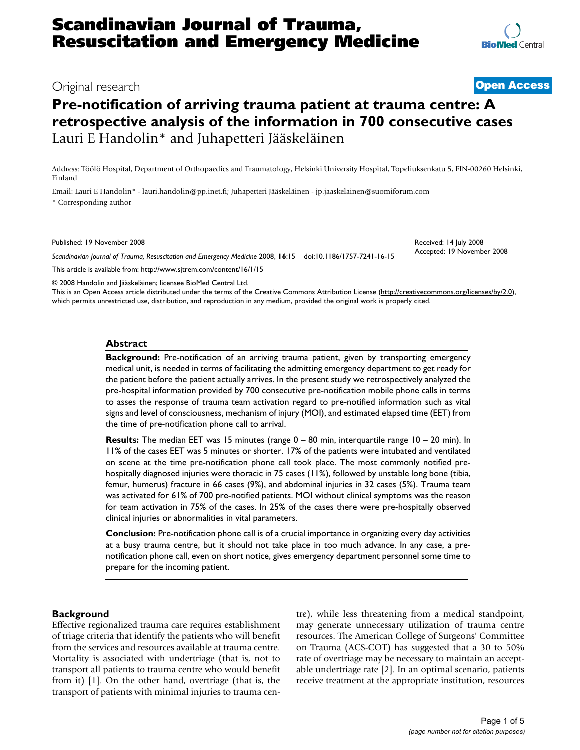# Original research **[Open Access](http://www.biomedcentral.com/info/about/charter/)**

# **Pre-notification of arriving trauma patient at trauma centre: A retrospective analysis of the information in 700 consecutive cases** Lauri E Handolin\* and Juhapetteri Jääskeläinen

Address: Töölö Hospital, Department of Orthopaedics and Traumatology, Helsinki University Hospital, Topeliuksenkatu 5, FIN-00260 Helsinki, Finland

Email: Lauri E Handolin\* - lauri.handolin@pp.inet.fi; Juhapetteri Jääskeläinen - jp.jaaskelainen@suomiforum.com \* Corresponding author

Published: 19 November 2008

*Scandinavian Journal of Trauma, Resuscitation and Emergency Medicine* 2008, **16**:15 doi:10.1186/1757-7241-16-15

[This article is available from: http://www.sjtrem.com/content/16/1/15](http://www.sjtrem.com/content/16/1/15)

© 2008 Handolin and Jääskeläinen; licensee BioMed Central Ltd.

This is an Open Access article distributed under the terms of the Creative Commons Attribution License [\(http://creativecommons.org/licenses/by/2.0\)](http://creativecommons.org/licenses/by/2.0), which permits unrestricted use, distribution, and reproduction in any medium, provided the original work is properly cited.

#### **Abstract**

**Background:** Pre-notification of an arriving trauma patient, given by transporting emergency medical unit, is needed in terms of facilitating the admitting emergency department to get ready for the patient before the patient actually arrives. In the present study we retrospectively analyzed the pre-hospital information provided by 700 consecutive pre-notification mobile phone calls in terms to asses the response of trauma team activation regard to pre-notified information such as vital signs and level of consciousness, mechanism of injury (MOI), and estimated elapsed time (EET) from the time of pre-notification phone call to arrival.

**Results:** The median EET was 15 minutes (range 0 – 80 min, interquartile range 10 – 20 min). In 11% of the cases EET was 5 minutes or shorter. 17% of the patients were intubated and ventilated on scene at the time pre-notification phone call took place. The most commonly notified prehospitally diagnosed injuries were thoracic in 75 cases (11%), followed by unstable long bone (tibia, femur, humerus) fracture in 66 cases (9%), and abdominal injuries in 32 cases (5%). Trauma team was activated for 61% of 700 pre-notified patients. MOI without clinical symptoms was the reason for team activation in 75% of the cases. In 25% of the cases there were pre-hospitally observed clinical injuries or abnormalities in vital parameters.

**Conclusion:** Pre-notification phone call is of a crucial importance in organizing every day activities at a busy trauma centre, but it should not take place in too much advance. In any case, a prenotification phone call, even on short notice, gives emergency department personnel some time to prepare for the incoming patient.

#### **Background**

Effective regionalized trauma care requires establishment of triage criteria that identify the patients who will benefit from the services and resources available at trauma centre. Mortality is associated with undertriage (that is, not to transport all patients to trauma centre who would benefit from it) [1]. On the other hand, overtriage (that is, the transport of patients with minimal injuries to trauma centre), while less threatening from a medical standpoint, may generate unnecessary utilization of trauma centre resources. The American College of Surgeons' Committee on Trauma (ACS-COT) has suggested that a 30 to 50% rate of overtriage may be necessary to maintain an acceptable undertriage rate [2]. In an optimal scenario, patients receive treatment at the appropriate institution, resources

Received: 14 July 2008 Accepted: 19 November 2008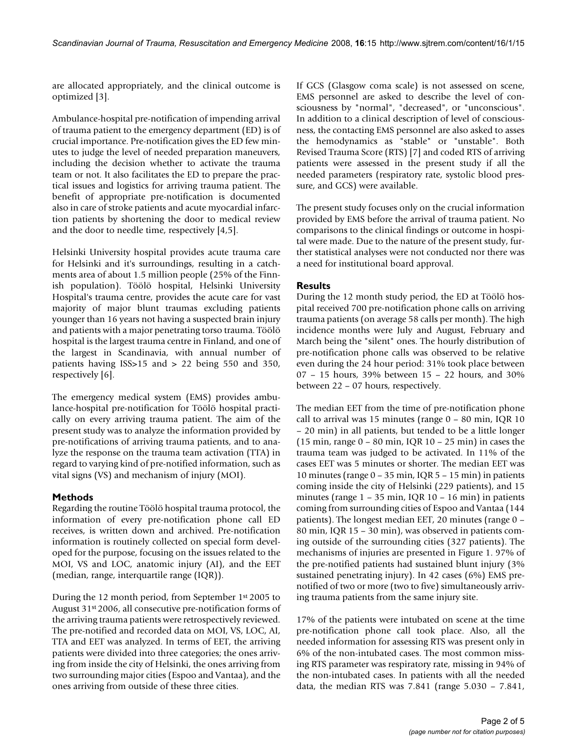are allocated appropriately, and the clinical outcome is optimized [3].

Ambulance-hospital pre-notification of impending arrival of trauma patient to the emergency department (ED) is of crucial importance. Pre-notification gives the ED few minutes to judge the level of needed preparation maneuvers, including the decision whether to activate the trauma team or not. It also facilitates the ED to prepare the practical issues and logistics for arriving trauma patient. The benefit of appropriate pre-notification is documented also in care of stroke patients and acute myocardial infarction patients by shortening the door to medical review and the door to needle time, respectively [4,5].

Helsinki University hospital provides acute trauma care for Helsinki and it's surroundings, resulting in a catchments area of about 1.5 million people (25% of the Finnish population). Töölö hospital, Helsinki University Hospital's trauma centre, provides the acute care for vast majority of major blunt traumas excluding patients younger than 16 years not having a suspected brain injury and patients with a major penetrating torso trauma. Töölö hospital is the largest trauma centre in Finland, and one of the largest in Scandinavia, with annual number of patients having ISS>15 and > 22 being 550 and 350, respectively [6].

The emergency medical system (EMS) provides ambulance-hospital pre-notification for Töölö hospital practically on every arriving trauma patient. The aim of the present study was to analyze the information provided by pre-notifications of arriving trauma patients, and to analyze the response on the trauma team activation (TTA) in regard to varying kind of pre-notified information, such as vital signs (VS) and mechanism of injury (MOI).

#### **Methods**

Regarding the routine Töölö hospital trauma protocol, the information of every pre-notification phone call ED receives, is written down and archived. Pre-notification information is routinely collected on special form developed for the purpose, focusing on the issues related to the MOI, VS and LOC, anatomic injury (AI), and the EET (median, range, interquartile range (IQR)).

During the 12 month period, from September 1st 2005 to August 31<sup>st</sup> 2006, all consecutive pre-notification forms of the arriving trauma patients were retrospectively reviewed. The pre-notified and recorded data on MOI, VS, LOC, AI, TTA and EET was analyzed. In terms of EET, the arriving patients were divided into three categories; the ones arriving from inside the city of Helsinki, the ones arriving from two surrounding major cities (Espoo and Vantaa), and the ones arriving from outside of these three cities.

If GCS (Glasgow coma scale) is not assessed on scene, EMS personnel are asked to describe the level of consciousness by "normal", "decreased", or "unconscious". In addition to a clinical description of level of consciousness, the contacting EMS personnel are also asked to asses the hemodynamics as "stable" or "unstable". Both Revised Trauma Score (RTS) [7] and coded RTS of arriving patients were assessed in the present study if all the needed parameters (respiratory rate, systolic blood pressure, and GCS) were available.

The present study focuses only on the crucial information provided by EMS before the arrival of trauma patient. No comparisons to the clinical findings or outcome in hospital were made. Due to the nature of the present study, further statistical analyses were not conducted nor there was a need for institutional board approval.

## **Results**

During the 12 month study period, the ED at Töölö hospital received 700 pre-notification phone calls on arriving trauma patients (on average 58 calls per month). The high incidence months were July and August, February and March being the "silent" ones. The hourly distribution of pre-notification phone calls was observed to be relative even during the 24 hour period: 31% took place between 07 – 15 hours, 39% between 15 – 22 hours, and 30% between 22 – 07 hours, respectively.

The median EET from the time of pre-notification phone call to arrival was 15 minutes (range 0 – 80 min, IQR 10 – 20 min) in all patients, but tended to be a little longer (15 min, range 0 – 80 min, IQR 10 – 25 min) in cases the trauma team was judged to be activated. In 11% of the cases EET was 5 minutes or shorter. The median EET was 10 minutes (range 0 – 35 min, IQR 5 – 15 min) in patients coming inside the city of Helsinki (229 patients), and 15 minutes (range  $1 - 35$  min, IQR  $10 - 16$  min) in patients coming from surrounding cities of Espoo and Vantaa (144 patients). The longest median EET, 20 minutes (range 0 – 80 min, IQR 15 – 30 min), was observed in patients coming outside of the surrounding cities (327 patients). The mechanisms of injuries are presented in Figure 1. 97% of the pre-notified patients had sustained blunt injury (3% sustained penetrating injury). In 42 cases (6%) EMS prenotified of two or more (two to five) simultaneously arriving trauma patients from the same injury site.

17% of the patients were intubated on scene at the time pre-notification phone call took place. Also, all the needed information for assessing RTS was present only in 6% of the non-intubated cases. The most common missing RTS parameter was respiratory rate, missing in 94% of the non-intubated cases. In patients with all the needed data, the median RTS was 7.841 (range 5.030 – 7.841,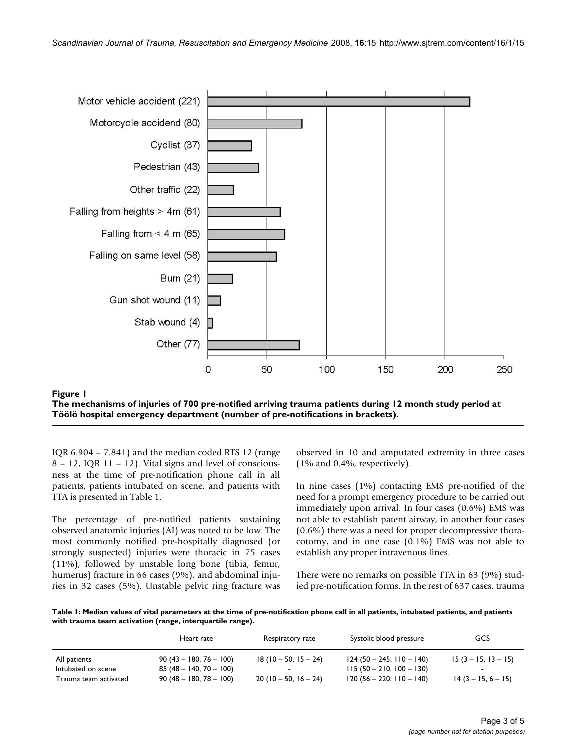

#### The mechanisms of injuries of 700 pre-noti gency department (number pr **Figure 1** e-notifications in brackets) fied arriving trauma patients during 12 month study period at Töölö hospital emer-**The mechanisms of injuries of 700 pre-notified arriving trauma patients during 12 month study period at Töölö hospital emergency department (number of pre-notifications in brackets).**

IQR 6.904 – 7.841) and the median coded RTS 12 (range 8 – 12, IQR 11 – 12). Vital signs and level of consciousness at the time of pre-notification phone call in all patients, patients intubated on scene, and patients with TTA is presented in Table 1.

The percentage of pre-notified patients sustaining observed anatomic injuries (AI) was noted to be low. The most commonly notified pre-hospitally diagnosed (or strongly suspected) injuries were thoracic in 75 cases (11%), followed by unstable long bone (tibia, femur, humerus) fracture in 66 cases (9%), and abdominal injuries in 32 cases (5%). Unstable pelvic ring fracture was observed in 10 and amputated extremity in three cases (1% and 0.4%, respectively).

In nine cases (1%) contacting EMS pre-notified of the need for a prompt emergency procedure to be carried out immediately upon arrival. In four cases (0.6%) EMS was not able to establish patent airway, in another four cases (0.6%) there was a need for proper decompressive thoracotomy, and in one case (0.1%) EMS was not able to establish any proper intravenous lines.

There were no remarks on possible TTA in 63 (9%) studied pre-notification forms. In the rest of 637 cases, trauma

**Table 1: Median values of vital parameters at the time of pre-notification phone call in all patients, intubated patients, and patients with trauma team activation (range, interquartile range).**

|                                             | Heart rate                                           | Respiratory rate                               | Systolic blood pressure                                  | GCS                   |
|---------------------------------------------|------------------------------------------------------|------------------------------------------------|----------------------------------------------------------|-----------------------|
| All patients                                | $90(43 - 180, 76 - 100)$                             | $18(10-50, 15-24)$                             | $124(50 - 245, 110 - 140)$                               | $15(3 - 15, 13 - 15)$ |
| Intubated on scene<br>Trauma team activated | $85(48 - 140, 70 - 100)$<br>$90(48 - 180, 78 - 100)$ | $\overline{\phantom{a}}$<br>$20(10-50, 16-24)$ | $115(50 - 210, 100 - 130)$<br>$120(56 - 220, 110 - 140)$ | $14(3 - 15, 6 - 15)$  |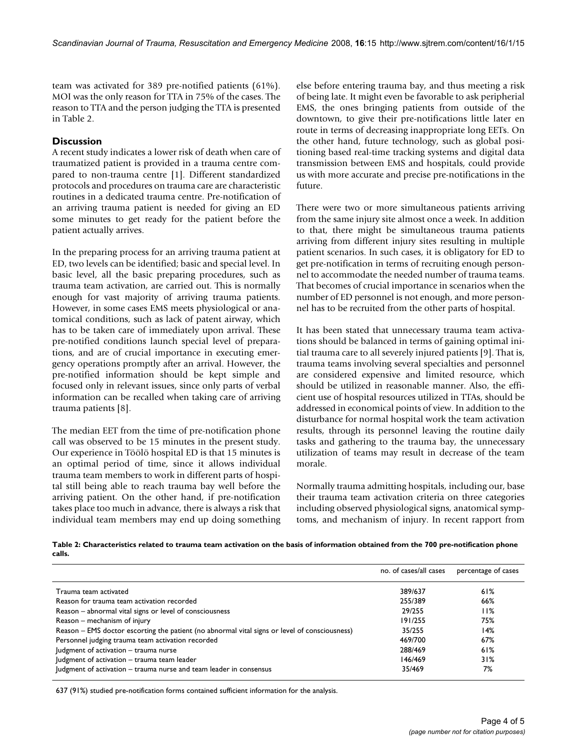team was activated for 389 pre-notified patients (61%). MOI was the only reason for TTA in 75% of the cases. The reason to TTA and the person judging the TTA is presented in Table 2.

# **Discussion**

A recent study indicates a lower risk of death when care of traumatized patient is provided in a trauma centre compared to non-trauma centre [1]. Different standardized protocols and procedures on trauma care are characteristic routines in a dedicated trauma centre. Pre-notification of an arriving trauma patient is needed for giving an ED some minutes to get ready for the patient before the patient actually arrives.

In the preparing process for an arriving trauma patient at ED, two levels can be identified; basic and special level. In basic level, all the basic preparing procedures, such as trauma team activation, are carried out. This is normally enough for vast majority of arriving trauma patients. However, in some cases EMS meets physiological or anatomical conditions, such as lack of patent airway, which has to be taken care of immediately upon arrival. These pre-notified conditions launch special level of preparations, and are of crucial importance in executing emergency operations promptly after an arrival. However, the pre-notified information should be kept simple and focused only in relevant issues, since only parts of verbal information can be recalled when taking care of arriving trauma patients [8].

The median EET from the time of pre-notification phone call was observed to be 15 minutes in the present study. Our experience in Töölö hospital ED is that 15 minutes is an optimal period of time, since it allows individual trauma team members to work in different parts of hospital still being able to reach trauma bay well before the arriving patient. On the other hand, if pre-notification takes place too much in advance, there is always a risk that individual team members may end up doing something else before entering trauma bay, and thus meeting a risk of being late. It might even be favorable to ask peripherial EMS, the ones bringing patients from outside of the downtown, to give their pre-notifications little later en route in terms of decreasing inappropriate long EETs. On the other hand, future technology, such as global positioning based real-time tracking systems and digital data transmission between EMS and hospitals, could provide us with more accurate and precise pre-notifications in the future.

There were two or more simultaneous patients arriving from the same injury site almost once a week. In addition to that, there might be simultaneous trauma patients arriving from different injury sites resulting in multiple patient scenarios. In such cases, it is obligatory for ED to get pre-notification in terms of recruiting enough personnel to accommodate the needed number of trauma teams. That becomes of crucial importance in scenarios when the number of ED personnel is not enough, and more personnel has to be recruited from the other parts of hospital.

It has been stated that unnecessary trauma team activations should be balanced in terms of gaining optimal initial trauma care to all severely injured patients [9]. That is, trauma teams involving several specialties and personnel are considered expensive and limited resource, which should be utilized in reasonable manner. Also, the efficient use of hospital resources utilized in TTAs, should be addressed in economical points of view. In addition to the disturbance for normal hospital work the team activation results, through its personnel leaving the routine daily tasks and gathering to the trauma bay, the unnecessary utilization of teams may result in decrease of the team morale.

Normally trauma admitting hospitals, including our, base their trauma team activation criteria on three categories including observed physiological signs, anatomical symptoms, and mechanism of injury. In recent rapport from

| Table 2: Characteristics related to trauma team activation on the basis of information obtained from the 700 pre-notification phone |  |
|-------------------------------------------------------------------------------------------------------------------------------------|--|
| calls.                                                                                                                              |  |

|                                                                                               | no. of cases/all cases | percentage of cases |
|-----------------------------------------------------------------------------------------------|------------------------|---------------------|
| Trauma team activated                                                                         | 389/637                | 61%                 |
| Reason for trauma team activation recorded                                                    | 255/389                | 66%                 |
| Reason – abnormal vital signs or level of consciousness                                       | 29/255                 | 11%                 |
| Reason – mechanism of injury                                                                  | 191/255                | 75%                 |
| Reason – EMS doctor escorting the patient (no abnormal vital signs or level of consciousness) | 35/255                 | 14%                 |
| Personnel judging trauma team activation recorded                                             | 469/700                | 67%                 |
| Judgment of activation - trauma nurse                                                         | 288/469                | 61%                 |
| Judgment of activation - trauma team leader                                                   | 146/469                | 31%                 |
| Judgment of activation – trauma nurse and team leader in consensus                            | 35/469                 | 7%                  |

637 (91%) studied pre-notification forms contained sufficient information for the analysis.